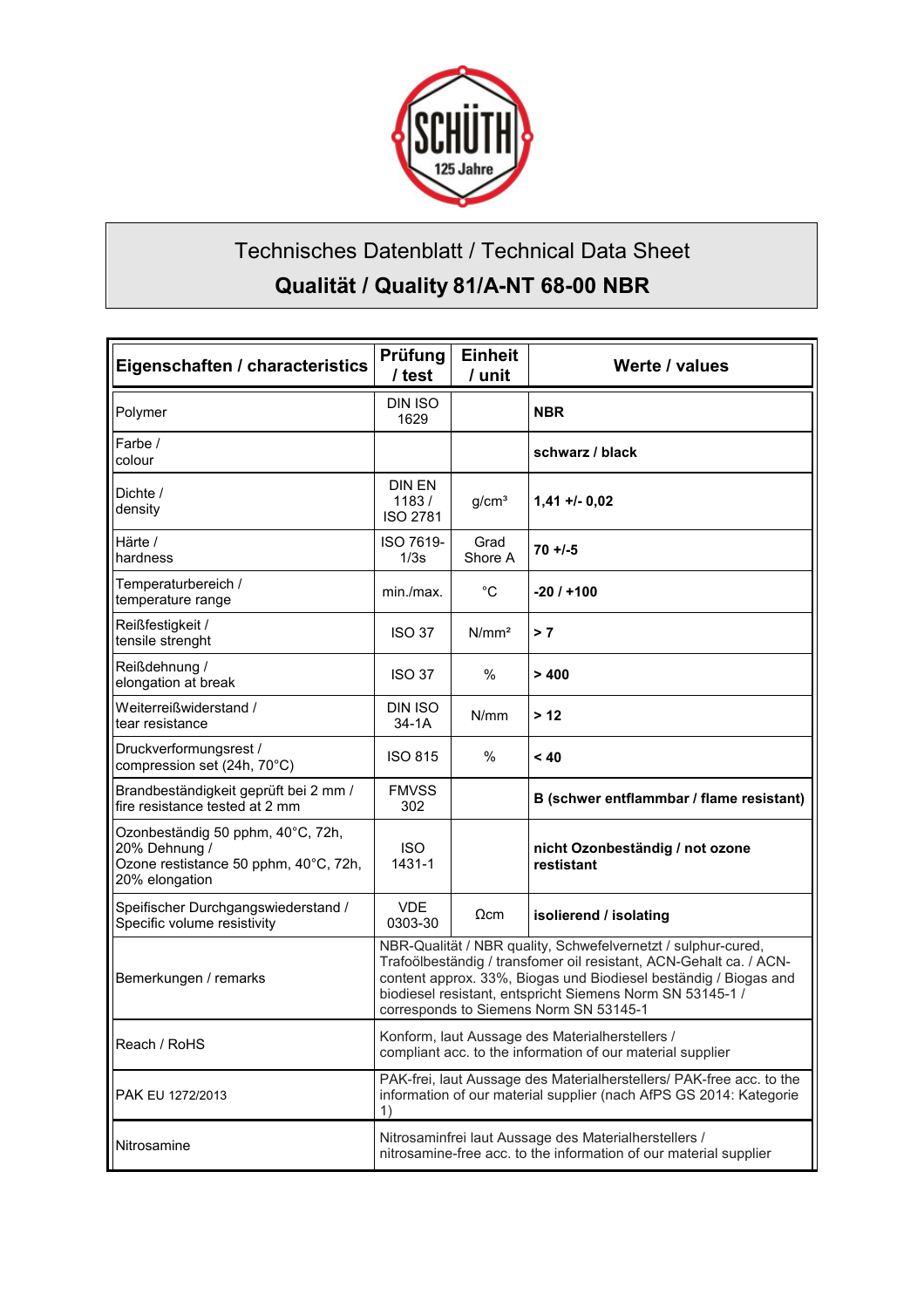

## Technisches Datenblatt / Technical Data Sheet **Qualität / Quality 81/A-NT 68-00 NBR**

| Eigenschaften / characteristics                                                                               | Prüfung<br>/ test                                                                                                                                                                                                                                                                                              | <b>Einheit</b><br>/ unit | Werte / values                                |
|---------------------------------------------------------------------------------------------------------------|----------------------------------------------------------------------------------------------------------------------------------------------------------------------------------------------------------------------------------------------------------------------------------------------------------------|--------------------------|-----------------------------------------------|
| Polymer                                                                                                       | DIN ISO<br>1629                                                                                                                                                                                                                                                                                                |                          | <b>NBR</b>                                    |
| Farbe /<br>colour                                                                                             |                                                                                                                                                                                                                                                                                                                |                          | schwarz / black                               |
| Dichte /<br>density                                                                                           | <b>DIN EN</b><br>1183/<br><b>ISO 2781</b>                                                                                                                                                                                                                                                                      | g/cm <sup>3</sup>        | $1,41 + 0,02$                                 |
| Härte /<br>hardness                                                                                           | ISO 7619-<br>1/3s                                                                                                                                                                                                                                                                                              | Grad<br>Shore A          | $70 + 1 - 5$                                  |
| Temperaturbereich /<br>temperature range                                                                      | min./max.                                                                                                                                                                                                                                                                                                      | $^{\circ}C$              | -20 / +100                                    |
| Reißfestigkeit /<br>tensile strenght                                                                          | <b>ISO 37</b>                                                                                                                                                                                                                                                                                                  | N/mm <sup>2</sup>        | >7                                            |
| Reißdehnung /<br>elongation at break                                                                          | <b>ISO 37</b>                                                                                                                                                                                                                                                                                                  | $\%$                     | >400                                          |
| Weiterreißwiderstand /<br>tear resistance                                                                     | DIN ISO<br>$34-1A$                                                                                                                                                                                                                                                                                             | N/mm                     | > 12                                          |
| Druckverformungsrest /<br>compression set (24h, 70°C)                                                         | <b>ISO 815</b>                                                                                                                                                                                                                                                                                                 | $\%$                     | < 40                                          |
| Brandbeständigkeit geprüft bei 2 mm /<br>fire resistance tested at 2 mm                                       | <b>FMVSS</b><br>302                                                                                                                                                                                                                                                                                            |                          | B (schwer entflammbar / flame resistant)      |
| Ozonbeständig 50 pphm, 40°C, 72h,<br>20% Dehnung /<br>Ozone restistance 50 pphm, 40°C, 72h,<br>20% elongation | <b>ISO</b><br>1431-1                                                                                                                                                                                                                                                                                           |                          | nicht Ozonbeständig / not ozone<br>restistant |
| Speifischer Durchgangswiederstand /<br>Specific volume resistivity                                            | <b>VDE</b><br>0303-30                                                                                                                                                                                                                                                                                          | $\Omega$ cm              | isolierend / isolating                        |
| Bemerkungen / remarks                                                                                         | NBR-Qualität / NBR quality, Schwefelvernetzt / sulphur-cured,<br>Trafoölbeständig / transfomer oil resistant, ACN-Gehalt ca. / ACN-<br>content approx. 33%, Biogas und Biodiesel beständig / Biogas and<br>biodiesel resistant, entspricht Siemens Norm SN 53145-1 /<br>corresponds to Siemens Norm SN 53145-1 |                          |                                               |
| Reach / RoHS                                                                                                  | Konform, laut Aussage des Materialherstellers /<br>compliant acc. to the information of our material supplier                                                                                                                                                                                                  |                          |                                               |
| PAK EU 1272/2013                                                                                              | PAK-frei, laut Aussage des Materialherstellers/ PAK-free acc. to the<br>information of our material supplier (nach AfPS GS 2014: Kategorie<br>1)                                                                                                                                                               |                          |                                               |
| Nitrosamine                                                                                                   | Nitrosaminfrei laut Aussage des Materialherstellers /<br>nitrosamine-free acc. to the information of our material supplier                                                                                                                                                                                     |                          |                                               |